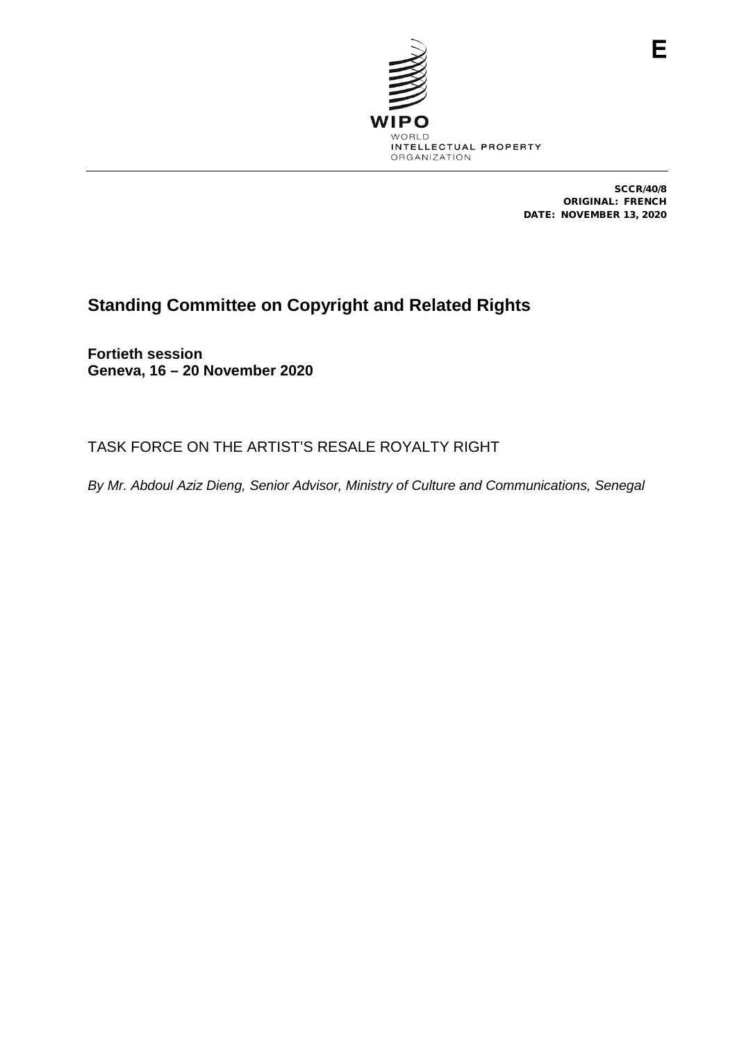

SCCR/40/8 ORIGINAL: FRENCH DATE: NOVEMBER 13, 2020

Е

## **Standing Committee on Copyright and Related Rights**

**Fortieth session Geneva, 16 – 20 November 2020**

TASK FORCE ON THE ARTIST'S RESALE ROYALTY RIGHT

*By Mr. Abdoul Aziz Dieng, Senior Advisor, Ministry of Culture and Communications, Senegal*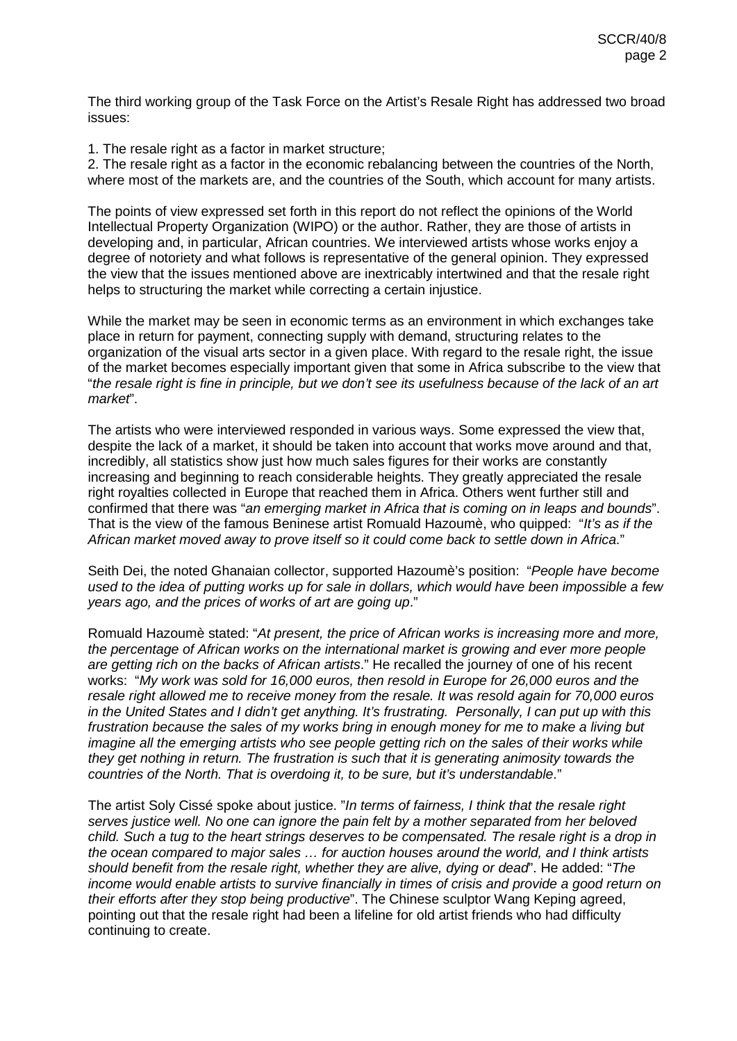The third working group of the Task Force on the Artist's Resale Right has addressed two broad issues:

1. The resale right as a factor in market structure;

2. The resale right as a factor in the economic rebalancing between the countries of the North, where most of the markets are, and the countries of the South, which account for many artists.

The points of view expressed set forth in this report do not reflect the opinions of the World Intellectual Property Organization (WIPO) or the author. Rather, they are those of artists in developing and, in particular, African countries. We interviewed artists whose works enjoy a degree of notoriety and what follows is representative of the general opinion. They expressed the view that the issues mentioned above are inextricably intertwined and that the resale right helps to structuring the market while correcting a certain injustice.

While the market may be seen in economic terms as an environment in which exchanges take place in return for payment, connecting supply with demand, structuring relates to the organization of the visual arts sector in a given place. With regard to the resale right, the issue of the market becomes especially important given that some in Africa subscribe to the view that "*the resale right is fine in principle, but we don't see its usefulness because of the lack of an art market*".

The artists who were interviewed responded in various ways. Some expressed the view that, despite the lack of a market, it should be taken into account that works move around and that, incredibly, all statistics show just how much sales figures for their works are constantly increasing and beginning to reach considerable heights. They greatly appreciated the resale right royalties collected in Europe that reached them in Africa. Others went further still and confirmed that there was "*an emerging market in Africa that is coming on in leaps and bounds*". That is the view of the famous Beninese artist Romuald Hazoumè, who quipped: "*It's as if the African market moved away to prove itself so it could come back to settle down in Africa*."

Seith Dei, the noted Ghanaian collector, supported Hazoumè's position: "*People have become used to the idea of putting works up for sale in dollars, which would have been impossible a few years ago, and the prices of works of art are going up*."

Romuald Hazoumè stated: "*At present, the price of African works is increasing more and more, the percentage of African works on the international market is growing and ever more people are getting rich on the backs of African artists*." He recalled the journey of one of his recent works: "*My work was sold for 16,000 euros, then resold in Europe for 26,000 euros and the resale right allowed me to receive money from the resale. It was resold again for 70,000 euros in the United States and I didn't get anything. It's frustrating. Personally, I can put up with this frustration because the sales of my works bring in enough money for me to make a living but imagine all the emerging artists who see people getting rich on the sales of their works while they get nothing in return. The frustration is such that it is generating animosity towards the countries of the North. That is overdoing it, to be sure, but it's understandable*."

The artist Soly Cissé spoke about justice. "*In terms of fairness, I think that the resale right serves justice well. No one can ignore the pain felt by a mother separated from her beloved child. Such a tug to the heart strings deserves to be compensated. The resale right is a drop in the ocean compared to major sales … for auction houses around the world, and I think artists should benefit from the resale right, whether they are alive, dying or dead*". He added: "*The income would enable artists to survive financially in times of crisis and provide a good return on their efforts after they stop being productive*". The Chinese sculptor Wang Keping agreed, pointing out that the resale right had been a lifeline for old artist friends who had difficulty continuing to create.